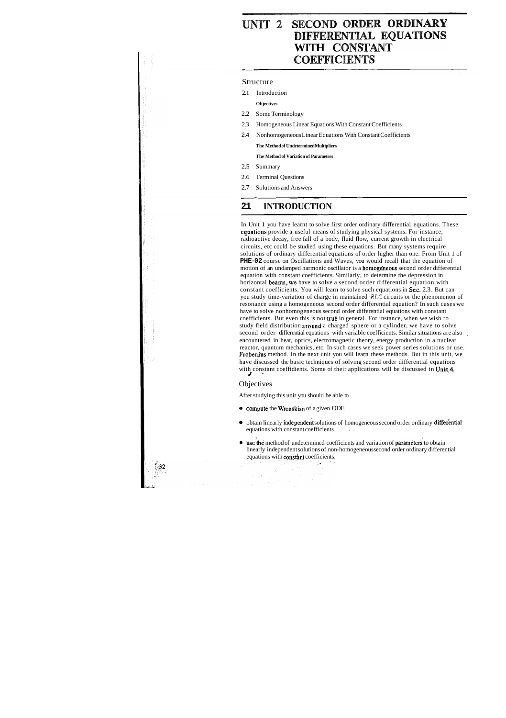# **UNIT 2 SECOND ORDER ORDINARY<br>DIFFERENTIAL EQUATIONS WITH CONSTANT COEFFICIENTS**

#### Structure

2.1 Introduction

**Objectives** 

- 2.2 Some Terminology
- 2.3 Homogeneous Linear Equations With Constant Coefficients
- 2.4 Nonhomogeneous Linear Equations With Constant Coefficients

In Unit 1 you have learnt to solve first order ordinary differential equations. These equations provide a useful means of studying physical systems. For instance, radioactive decay, free fall of a body, fluid flow, current growth in electrical circuits, etc could be studied using these equations. But many systems require solutions of ordinary differential equations of order higher than one. From Unit 1 of **PHE-02** course on Oscillations and Waves, you would recall that the equation of motion of an undamped harmonic oscillator is a homogeheous second order differential equation with constant coefficients. Similarly, to determine the depression in horizontal beams, we have to solve a second order differential equation with constant coefficients. You will learn to solve such equations in Sec. 2.3. But can you study time-variation of charge in maintained **RLC** circuits or the phenomenon of resonance using a homogeneous second order differential equation? In such cases we have to solve nonhomogeneous second order differential equations with constant coefficients. But even this is not true in general. For instance, when we wish to study field distribution around a charged sphere or a cylinder, we have to solve second order differential equations with variable coefficients. Similar situations are also encountered in heat, optics, electromagnetic theory, energy production in a nuclear ' reactor, quantum mechanics, etc. In such cases we seek power series solutions or use. Frobenius method. In the next unit you will learn these methods. But in this unit, we have discussed the basic techniques of solving second order differential equations with constant coeffidients. Some of their applications will be discussed in Unit 4.

#### **Objectives**

**The Method of Undetermined Multipliers The Method of Variation of Parameters** 

- 2.5 Summary
- 2.6 Terminal Questions
- 2.7 Solutions and Answers

## **2.1 INTRODUCTION**

After studying this unit you should be able to

- compute the Wronskian of a given ODE
- $\bullet$  obtain linearly independent solutions of homogeneous second order ordinary differential equations with constant coefficients .
- use the method of undetermined coefficients and variation of parameters to obtain linearly independent solutions of non-homogeneous second order ordinary differential equations with constant coefficients.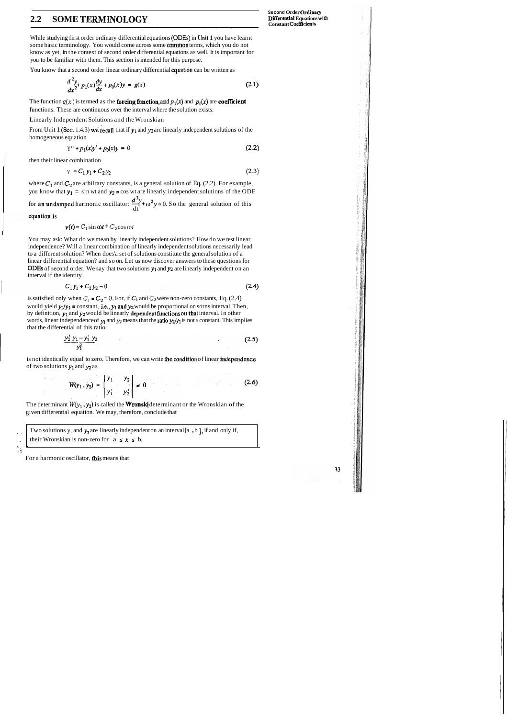## **2.2 SOME TERMINOLOGY**

**Second Order Ordinary<br>Differential Equations with Constant CoeffEcients** 

While studying first order ordinary differential equations (ODEs) in Unit 1 you have learnt some basic terminology. You would come across some common terms, which you do not know as yet, in the context of second order differential equations as well. It is important for you to be familiar with them. This section is intended for this purpose.

You know that a second order linear ordinary differential equation can be written as

$$
\frac{d^2y}{dx^2} + p_1(x)\frac{dy}{dx} + p_0(x)y = g(x)
$$
\n(2.1)

The function  $g(x)$  is termed as the **forcing function**, and  $p_1(x)$  and  $p_0(x)$  are **coefficient** functions. These are continuous over the interval where the solution exists.

From Unit 1 (Sec. 1.4.3) we recall that if  $y_1$  and  $y_2$  are linearly independent solutions of the homogeneous equation

Linearly Independent Solutions and the Wronskian

$$
Y'' + p_1(x)y' + p_0(x)y = 0 \tag{2.2}
$$

then their linear combination

$$
Y = C_1 y_1 + C_2 y_2 \tag{2.3}
$$

where  $C_1$  and  $C_2$  are arbilrary constants, is a general solution of Eq. (2.2). For example, you know that  $y_1 = \sin wt$  and  $y_2 = \cos wt$  are linearly independent solutions of the ODE **2**  for **an undamped** harmonic oscillator:  $\frac{dy}{dt^2} + \omega^2 y = 0$ . So the general solution of this

equation is

 $y(t) = C_1 \sin \omega t + C_2 \cos \omega t$ 

is satisfied only when  $C_1 = C_2 = 0$ . For, if  $C_1$  and  $C_2$  were non-zero constants, Eq. (2.4) would yield  $y_2/y_1$  = constant, i.e.,  $y_1$  and  $y_2$  would be proportional on sorns interval. Then, by definition,  $y_1$  and  $y_2$  would be linearly dependent functions on that interval. In other words, linear independence of  $y_1$  and  $y_2$  means that the **ratio**  $y_2/y_1$  is not a constant. This implies that the differential of this ratio

$$
\frac{y_2' y_1 - y_1' y_2}{y_1^2} \tag{2.5}
$$

is not identically equal to zero. Therefore, we can write the condition of linear independence of two solutions  $y_1$  and  $y_2$  as

$$
W(y_1, y_2) = \begin{vmatrix} y_1 & y_2 \\ y'_1 & y'_2 \end{vmatrix} = 0
$$
 (2.6)

The determinant  $W(y_1, y_2)$  is called the **Wronski** determinant or the Wronskian of the given differential equation. We may, therefore, conclude that

Two solutions y, and  $y_2$  are linearly independent on an interval [a, b], if and only if, their Wronskian is non-zero for  $a \le x \le b$ .

For a harmonic oscillator, **this** means tbat

You may ask: What do we mean by linearly independent solutions? How do we test linear independence? Will a linear combination of linearly independent solutions necessarily lead to a different solution? When does'a set of solutions constitute the general solution of a linear differential equation? and so on. Let us now discover answers to these questions for ODEs of second order. We say that two solutions  $y_1$  and  $y_2$  are linearly independent on an interval if the identity

$$
C_1 y_1 + C_2 y_2 = 0 \tag{2.4}
$$

, , .

 $\mathcal{L}$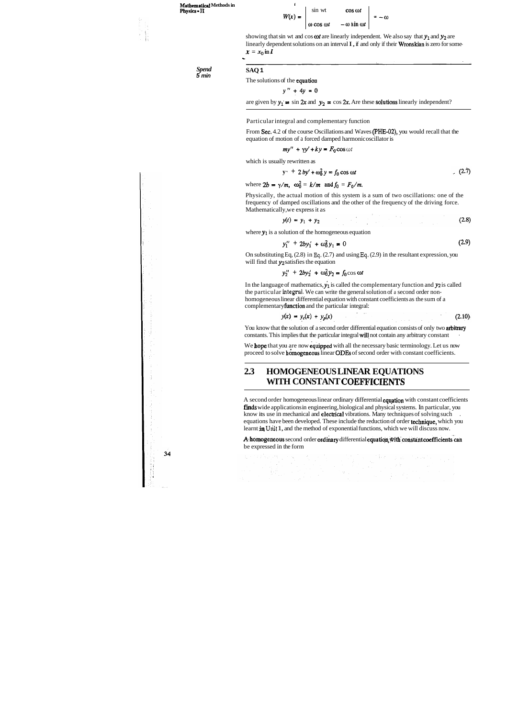**Mathematical Methods in Physics** - **IT** 

> *Spend*  **5 min**

 $34$ 

**SAQ 1**  The solutions of the equation

 $y'' + 4y = 0$ 

are given by  $y_1 = \sin 2x$  and  $y_2 = \cos 2x$ . Are these **solutions** linearly independent?

#### Particular integral and complementary function



showing that sin wt and cos  $\omega t$  are linearly independent. We also say that  $y_1$  and  $y_2$  are linearly dependent solutions on an interval **I**, if and only if their **Wronskian** is zero for some $x = x_0 \ln I$ 

From Sec. 4.2 of the course Oscillations and Waves (PHE-02), you would recall that the equation of motion of a forced damped harmonic oscillator is

$$
my'' + \gamma y' + ky = F_0 \cos \omega t
$$

which is usually rewritten as

$$
y^4 + 2by' + \omega_0^2 y = f_0 \cos \omega t
$$
 (2.7)

where  $2b = \gamma/m$ ,  $\omega_0^2 = k/m$  and  $f_0 = F_0/m$ .

In the language of mathematics,  $y_1$  is called the complementary function and  $y_2$  is called the particular **integral.** We can write the general solution of a second order nonhomogeneous linear differential equation with constant coefficients as the sum of a complementary function and the particular integral:

$$
y(x) = y_c(x) + y_p(x)
$$
 (2.10)

You know that the solution of a second order differential equation consists of only two arbitrary constants. This implies that the particular integral will not contain any arbitrary constant

We hope that you are now equipped with all the necessary basic terminology. Let us now proceed to solve homogeneous linear ODEs of second order with constant coefficients.

Physically, the actual motion of this system is a sum of two oscillations: one of the frequency of damped oscillations and the other of the frequency of the driving force. Mathematically, we express it as

$$
y(t) = y_1 + y_2 \tag{2.8}
$$

where  $y_1$  is a solution of the homogeneous equation

$$
y_1'' + 2by_1' + \omega_0^2 y_1 = 0 \tag{2.9}
$$

On substituting Eq, (2.8) in **Eq.** (2.7) and using **Eq.** (2.9) in the resultant expression, you will find that **yz** satisfies the equation

$$
y_2'' + 2by_2' + \omega_0^2 y_2 = f_0 \cos \omega t
$$

A homogeneous second order ordinary differential equation with constant coefficients can be expressed in the form '

## **2.3 HOMOGENEOUS LINEAR EQUATIONS WITH CONSTANT COEFFICIEBTS**

A second order homogeneous linear ordinary differential equation with constant coefficients finds wide applications in engineering, biological and physical systems. In particular, you know its use in mechanical and **electrical** vibrations. Many techniques of solving such equations have been developed. These include the reduction of order technique, which you learnt in Unit 1, and the method of exponential functions, which we will discuss now.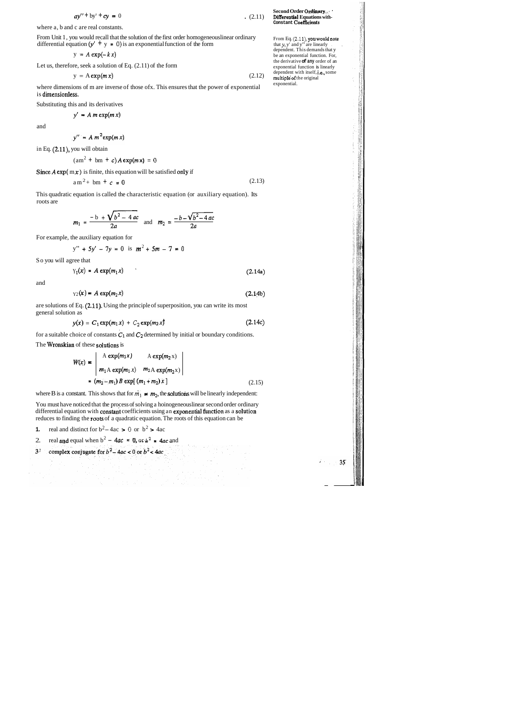$$
ay'' + by' + cy = 0
$$
 (2.11)

From Unit 1, you would recall that the solution of the first order homogeneous linear ordinary differential equation  $(y' + y = 0)$  is an exponential function of the form

where a, b and c are real constants.

where dimensions of m are inverse of those ofx. This ensures that the power of exponential is dimensionless.

$$
y = A \exp(-kx)
$$

Let us, therefore, seek a solution of Eq. (2.11) of the form

$$
y = A \exp(m x) \tag{2.12}
$$

Substituting this and its derivatives

 $y' = A m \exp(m x)$ 

and

$$
y'' = A m^2 \exp(m x)
$$

in Eq. (2.11), you will obtain

$$
(\text{am}^2 + \text{bm} + c)A \exp(m \mathbf{x}) = 0
$$

Since  $A \exp(\{m x\})$  is finite, this equation will be satisfied only if

 $am^2 + bm + c = 0$  (2.13)

You must have noticed that the process of solving a hoinogeneous linear second order ordinary differential equation with constant coefficients using an exponential function as a solution reduces to finding the roots of a quadratic equation. The roots of this equation can be

This quadratic equation is called the characteristic equation (or auxiliary equation). Its roots are

$$
m_1 = \frac{-b + \sqrt{b^2 - 4ac}}{2a}
$$
 and  $m_2 = \frac{-b - \sqrt{b^2 - 4ac}}{2a}$ 

For example, the auxiliary equation for

$$
y'' + 5y' - 7y = 0 \text{ is } m^2 + 5m - 7 = 0
$$

So you will agree that

$$
Y_1(x) = A \exp(m_1 x) \tag{2.14a}
$$

and

$$
y_2(x) = A \exp(m_2 x) \tag{2.14b}
$$

are solutions of Eq. (2.11). Using the principle of superposition, you can write its most general solution as

From Eq.  $(2.11)$ , you would note that  $y$ ,  $y'$  and  $y''$  are linearly dependent. This demands that y be an exponential function. For, the derivative **of any** order of an exponential function is linearly dependent with itself, i.e., some multiple of the original exponential.

 $35<sub>l</sub>$ 

$$
y(x) = C_1 \exp(m_1 x) + C_2 \exp(m_2 x)
$$
 (2.14c)

for a suitable choice of constants  $C_1$  and  $C_2$  determined by initial or boundary conditions.

The Wronskian of these solutions is

1. real and distinct for 
$$
b^2 - 4ac > 0
$$
 or  $b^2 > 4ac$ 

**Second Order Odjaary,.** ' **Differential Equations with-Constant Coefflcients** 

$$
W(x) = \begin{vmatrix} A \exp(m_1 x) & A \exp(m_2 x) \\ m_1 A \exp(m_1 x) & m_2 A \exp(m_2 x) \\ = (m_2 - m_1) B \exp[(m_1 + m_2) x] \end{vmatrix}
$$
 (2.15)

where B is a constant. This shows that for  $m_1 \neq m_2$ , the **solutions** will be linearly independent:

2. real **and** equal when 
$$
b^2 - 4ac = 0
$$
, or  $b^2 = 4ac$  and

 $3<sup>1</sup>$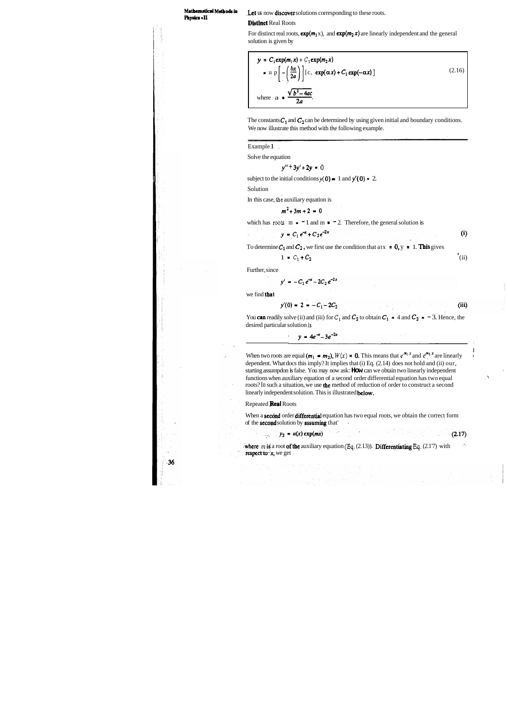**Phyh** - **II** 

**Mathematical Methods in** Let us now discover solutions corresponding to these roots.

**Distinct Real Roots** 

For distinct real roots,  $exp(m_1 x)$ , and  $exp(m_2 x)$  are linearly independent and the general solution is given by

$$
y = C_1 \exp(m_1 x) + C_2 \exp(m_2 x)
$$
  
\n
$$
= u p \left[ -\left(\frac{bx}{2a}\right) \right] [c, \exp(\alpha x) + C_2 \exp(-\alpha x)]
$$
  
\nwhere  $a = \frac{\sqrt{b^2 - 4ac}}{2a}$ . (2.16)

The constants  $C_1$  and  $C_2$  can be determined by using given initial and boundary conditions. We now illustrate this method with the following example.

Example 1,

Solve the equation

$$
y'' + 3y' + 2y = 0
$$

subject to the initial conditions  $y(0) = 1$  and  $y'(0) = 2$ .

Solution

In this case, the auxiliary equation is

$$
m^2+3m+2=0
$$

which has **roots**  $m = -1$  and  $m = -2$ . Therefore, the general solution is

$$
y = C_1 e^{-x} + C_2 e^{-2x}
$$
 (i)

To determine  $C_1$  and  $C_2$ , we first use the condition that at  $x = 0$ ,  $y = 1$ . This gives

$$
1 = C_1 + C_2 \tag{ii}
$$

Further, since

 $y'$ 

$$
= -C_1 e^{-x} - 2C_2 e^{-2x}
$$

we find that

$$
y'(0) = 2 = -C_1 - 2C_2 \tag{iii}
$$

I

 $\blacksquare$ 

You **can** readily solve (ii) and (iii) for  $C_1$  and  $C_2$  to obtain  $C_1 = 4$  and  $C_2 = -3$ . Hence, the desired particular solution is

$$
y = 4e^{-x} - 3e^{-2x}
$$

When two roots are equal  $(m_1 - m_2)$ ,  $W(x) = 0$ . This means that  $e^{i\pi x}$  and  $e^{i\pi x}$  are linearly dependent. What docs this imply? It implies that (i) Eq. (2.14) does not hold and (ii) our, starting assumpdon is false. You may now ask: **How** can we obtain two linearly independent , functions when auxiliary equation of a second order differential equation has two equal \ roots? In such a situation, we use the method of reduction of order to construct a second linearly independent solution. This is illustrated **below.** 

#### Repeated Real Roots

 $36$ 

When a **second** order differential equation has two equal roots, we obtain the correct form of the second solution by assuming that' .

$$
y_2 = u(x) \exp(mx) \tag{2.17}
$$

where *m* is a root of the auxiliary equation  $(\text{Eq. (2.13)})$ . Differentiating Eq. (2.17) with respect to  $x$ , we get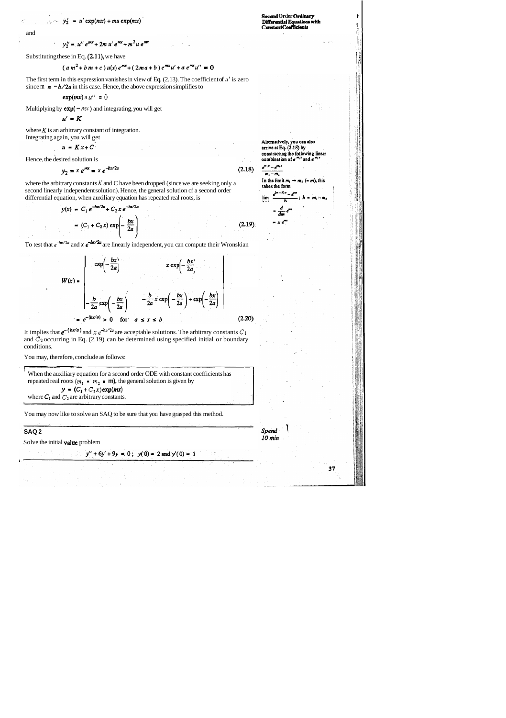$y'_2 = u' \exp(mx) + mu \exp(mx)$ 

and

$$
y_2'' = u'' e^{mx} + 2m u' e^{mx} + m^2 u e^{mx}
$$

Substituting these in Eq.  $(2.11)$ , we have

$$
(a\,m^2+b\,m+c\,)\,u(x)\,e^{mx}+(2ma+b\,)\,e^{mx}u'+a\,e^{mx}u''=0
$$

The first term in this expression vanishes in view of Eq.  $(2.13)$ . The coefficient of  $\mu'$  is zero since  $m = -b/2a$  in this case. Hence, the above expression simplifies to

<sup>I</sup>**f!** 

Alternatively, you can also arrive at Eq.  $(2.18)$  by constructing the following linear combination of  $e^{m_1x}$  and  $e^{m_1x}$ أفواهي الأراهي

$$
\frac{e^{-}-e^{-}}{m_1-m_2}
$$

 $(2.19)$ 

In the limit  $m_1 \rightarrow m_2$  (= m), this takes the form lim

Spend  $10$  min

 $37$ 

where  $K$  is an arbitrary constant of integration. Integrating again, you will get

$$
u = Kx + C
$$

$$
\exp(mx) a u'' = 0
$$

Multiplying by  $exp(-mx)$  and integrating, you will get

$$
u' = K
$$

Hence, the desired solution is

It implies that  $e^{-(bx/a)}$  and  $x e^{-bx/2a}$  are acceptable solutions. The arbitrary constants  $C_1$ and **C2** occurring in Eq. (2.19) can be determined using specified initial or boundary conditions.

$$
y_2 = x e^{mx} = x e^{-bx/2a}
$$
 (2.18)

where the arbitrary constants **K** and C have been dropped (since we are seeking only a second linearly independent solution). Hence, the general solution of a second order differential equation, when auxiliary equation has repeated real roots, is

$$
y(x) = C_1 e^{-bx/2a} + C_2 x e^{-bx/2a}
$$

$$
= (C_1 + C_2 x) \exp\left(-\frac{bx}{2a}\right)
$$

To test that  $e^{-\frac{kx}{2a}}$  and  $\theta \neq e^{-\frac{kx}{2a}}$  are linearly independent, you can compute their Wronskian

$$
W(x) = \begin{vmatrix} exp\left(-\frac{bx}{2a}\right) & x \exp\left(-\frac{bx}{2a}\right) \\ -\frac{b}{2a} exp\left(-\frac{bx}{2a}\right) & -\frac{b}{2a} x \exp\left(-\frac{bx}{2a}\right) + exp\left(-\frac{bx}{2a}\right) \\ = e^{-(bx/a)} > 0 \quad \text{for} \quad a \le x \le b \end{vmatrix}
$$
(2.20)

You may, therefore, conclude as follows:

When the auxiliary equation for a second order ODE with constant coefficients has repeated real roots (
$$
m_1 = m_2 = m
$$
), the general solution is given by  
\n $y = (C_1 + C_2 x) \exp(mx)$   
\nwhere  $C_1$  and  $C_2$  are arbitrary constants.

You may now like to solve an SAQ to be sure that you have grasped this method.

## **SAQ 2**

Solve the initial **value** problem

 $y'' + 6y' + 9y = 0$ ;  $y(0) = 2$  and  $y'(0) = 1$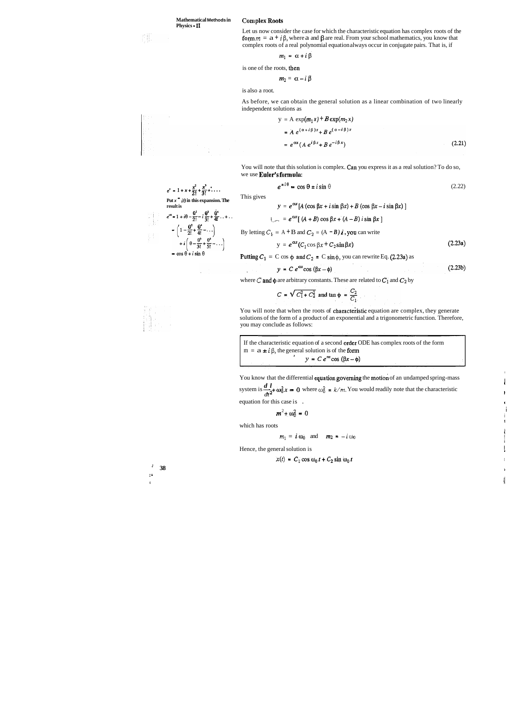Let us now consider the case for which the characteristic equation has complex roots of the form  $m = a + i \beta$ , where a and  $\beta$  are real. From your school mathematics, you know that complex roots of a real polynomial equation always occur in conjugate pairs. That is, if

$$
m_1 = \alpha + i \beta
$$

is one of the roots, then

$$
m_2 = \alpha - i \beta
$$

is also a root.

As before, we can obtain the general solution as a linear combination of two linearly independent solutions as

$$
y = A \exp(m_1 x) + B \exp(m_2 x)
$$
  
=  $A e^{(\alpha + i\beta)x} + B e^{(\alpha - i\beta)x}$   
=  $e^{\alpha x} (A e^{i\beta x} + B e^{-i\beta x})$  (2.21)

You will note that this solution is complex. Can you express it as a real solution? To do so, we use **Euler's formula:** 

$$
x^{i\theta} = \cos \theta \pm i \sin \theta \tag{2.22}
$$

You will note that when the roots of characteristic equation are complex, they generate solutions of the form of a product of an exponential and a trigonometric function. Therefore, you may conclude as follows:

results  
\n
$$
e^{i\theta} = 1 + i\theta - \frac{\theta^2}{2!} - i\frac{\theta^3}{3!} + \frac{\theta^4}{4!} + \cdots
$$
\n
$$
- \left(1 - \frac{\theta^2}{2!} + \frac{\theta^4}{4!} + \cdots\right)
$$
\n
$$
+ i\left(\theta - \frac{\theta^3}{3!} + \frac{\theta^5}{5!} - \cdots\right)
$$
\n
$$
= \cos\theta + i\sin\theta
$$

 $e^t - 1 + x + \frac{x^2}{2!} + \frac{x^3}{3!} + \dots$  **e**<br>Put **x**  $\overline{\phantom{a}}$  *i*  $\theta$  in this expansion. The This gives  $y = e^{\alpha x} [A(\cos \beta x + i \sin \beta x) + B(\cos \beta x - i \sin \beta x)]$  $\int e^{ax} [ (A+B) \cos \beta x + (A-B) i \sin \beta x ]$ 

By letting 
$$
C_1 = A + B
$$
 and  $C_2 = (A - B)i$ , you can write

**38** <sup>I</sup> : '  $\mathbf 1$ 

$$
y = e^{\alpha x} (C_1 \cos \beta x + C_2 \sin \beta x)
$$
 (2.23a)

**Putting**  $C_1 = C \cos \phi$  **and**  $C_2 = C \sin \phi$ **, you can rewrite Eq. (2.23a) as** 

$$
y = C e^{\alpha x} \cos{(\beta x - \phi)}
$$
 (2.23b)

where C and  $\phi$  are arbitrary constants. These are related to  $C_1$  and  $C_2$  by

$$
C = \sqrt{C_1^2 + C_2^2}
$$
 and  $\tan \phi = \frac{C_2}{C_1}$ 

If the characteristic equation of a second order ODE has complex roots of the form  
\n
$$
m = a \pm i \beta, \text{ the general solution is of the form}
$$
\n
$$
y = C e^{ax} \cos(\beta x - \phi)
$$

You know that the differential equation governing the motion of an undamped spring-mass system is  $\frac{d}{dx}$  **w** $\frac{d}{dx}$  = 0 where  $\omega_0^2$  =  $k/m$ . You would readily note that the characteristic

**In the contract of the contract of the contract of the contract of the contract of the contract of the contract of the contract of the contract of the contract of the contract of the contract of the contract of the contra** 

I

$$
m^2 \pm \omega_0^2 = 0
$$

i I

which has roots

 $m_1 = i \omega_0$  and  $m_2 = -i \omega_0$ 

Hence, the general solution is

! i

 $dt^2$  is the set of  $\alpha$  in the set of  $\alpha$  is the set of  $\alpha$  is the set of  $\alpha$  is the set of  $\alpha$  is the set of  $\alpha$  is the set of  $\alpha$  is the set of  $\alpha$  is the set of  $\alpha$  is the set of  $\alpha$  is the set of  $\alpha$  is the equation for this case is .

$$
x(t) = C_1 \cos \omega_0 t + C_2 \sin \omega_0 t
$$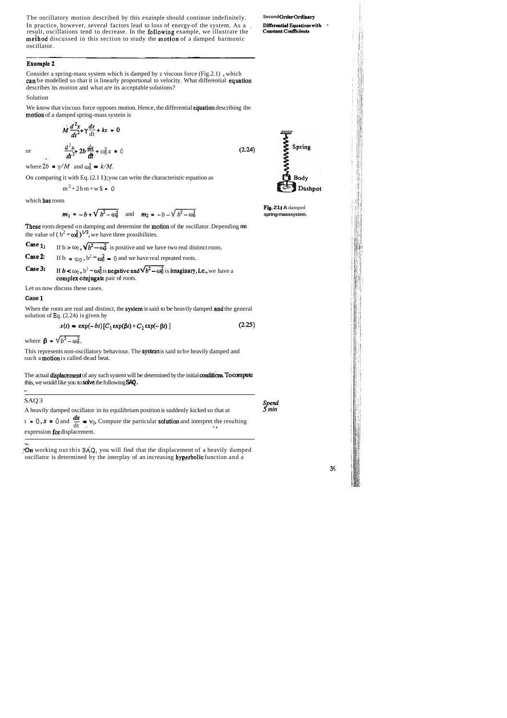The oscillatory motion described by this exainple should continue indefinitely. **Second Order Ordinary** In practice, however, several factors lead to loss of energy-of the system. As a , **Differential Equations with** result, oscillations tend to decrease. In the **following** example, we illustrate the **Constant Coefficients** method discussed in this section to study the motion of a damped harmonic oscillator.

#### **Example 2**

We know that viscous force opposes motion. Hence, the differential equation describing the motion of a damped spring-mass systein is

Consider a spring-mass system which is damped by a viscous force (Fig.2.1) , which can be modelled so that it is linearly proportional to velocity. What differential equation describes its motion and what are its acceptable solutions?

Solution

$$
M \frac{d^2 x}{dt^2} + \gamma \frac{dx}{dt} + kx = 0
$$
  
or 
$$
\frac{d^2 x}{dt^2} + 2b \frac{dx}{dt} + \omega_0^2 x = 0
$$
 (2.24)

where  $2b = \gamma/M$  and  $\omega_0^2 = k/M$ .

When the roots are real and distinct, the system is said to be heavily damped and the general solution of **Eq.** (2.24) is given by

On comparing it with Eq. (2.1 1); you can write the characteristic equation as

$$
m^2 + 2bm + w\$\ =\ 0
$$

which bas roots

The actual displacement of any such system will be determined by the initial conditions. To compute this, we would like you to solve the following **SAQ.** 

**Fig. 21 I A** damped

 $3<sub>5</sub>$ 

$$
m_1 = -b + \sqrt{b^2 - \omega_0^2}
$$
 and  $m_2 = -b - \sqrt{b^2 - \omega_0^2}$  **Fig. 211 A** damped  
spring-masssystem.

These roots depend on damping and determine the motion of the oscillator. Depending on the value of  $(b^2 - \omega_0^2)^{1/2}$ , we have three possibilities.

**Case 1:** If  $b > \omega_0$ ,  $\sqrt{b^2 - \omega_0^2}$  is positive and we have two real distinct roots. **Case 2:** If  $b = \omega_0$ ,  $b^2 - \omega_0^2 = 0$  and we have real repeated roots.

**Case 3:** If  $b < \omega_0$ ,  $b^2 - \omega_0^2$  is negative and  $\sqrt{b^2 - \omega_0^2}$  is imaginary, i.e., we have a complex conjugate pair of roots.

-..\_ .On working out this **SAQ,** you will find that the displacement of a heavily damped oscillator is determined by the interplay of an increasing hyperbolic function and a

**JAMMMNE** Spring Body Dashpot

Let us now discuss these cases.

#### **Case** 1

$$
x(t) = \exp(-bt) [C_1 \exp(\beta t) + C_2 \exp(-\beta t)] \qquad (2.25)
$$

where  $\beta = \sqrt{b^2 - \omega_0^2}$ .

This represents non-oscillatory behaviour. The system is said to be heavily damped and such a motion is called dead beat.

-.

| SAQ3                                                                                                             |                |
|------------------------------------------------------------------------------------------------------------------|----------------|
| A heavily damped oscillator in its equilibrium position is suddenly kicked so that at                            | Spend<br>5 min |
| $t = 0$ , $x = 0$ and $\frac{dx}{dt} = y_0$ . Compute the particular <b>solution</b> and interpret the resulting |                |
| expression for displacement.                                                                                     |                |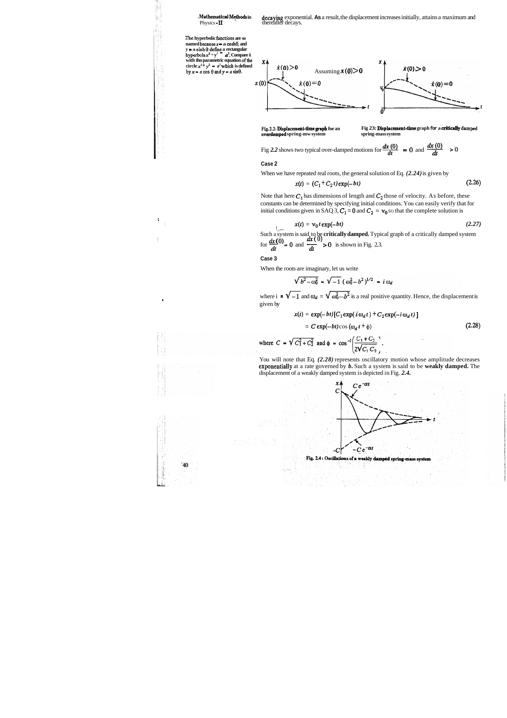**Mathematical Methods in decaying** exponential. **As** a result, the displacement increases initially, attains a maximum and Physics **II thereafter decays.** 

**Be hyperbolic €unctions are so named becausex** - **a cosh0, and hanned because**  $x = a$  **dosnot**, and<br>  $y = a \sinh \theta$  define a rectangular<br>
hyperbola  $x^2 - y^2 = a^2$ . Compare it with tho parametric equation of the circle  $x^2 + y^2 = a^2$  which is defined<br>by  $x = a \cos \theta$  and  $y = a \sin \theta$ .

 $\mathbf{X}$ 

 $x(0)$ 

 $\dot{x}(0) > 0$  Assuming  $x(0) > 0$  $\dot{x}(0) > 0$  $\dot{x}(0) = 0$  $\dot{x}(0) = 0$  $t \rightarrow t$ 

overdamped spring-mw system

**Fig.2.2: Displacement-time graph for an** Fig 23: Displacement-time graph  $\frac{1}{2}$  cover damped spring-mass system **spring-mass system** 

Fig 2.2 shows two typical over-damped motions for  $\frac{dx(0)}{dt} = 0$  and  $\frac{dx(0)}{dt}$ 

#### **Case 2**

When we have repeated real roots, the general solution of Eq. *(2.24)* is given by

where  $i = \sqrt{-1}$  and  $\omega_d = \sqrt{\omega_0^2 - b^2}$  is a real positive quantity. Hence, the displacement is given by

$$
x(t) = (C_1 + C_2 t) \exp(-bt)
$$
 (2.26)

Note that here  $C_1$  has dimensions of length and  $C_2$  those of velocity. As before, these constants can be determined by specifying initial conditions. You can easily verify that for initial conditions given in SAQ 3,  $C_1 = 0$  and  $C_2 = v_0$  so that the complete solution is

$$
x(t) = \mathbf{v}_0 t \exp(-bt) \tag{2.27}
$$

 $x(t) = v_0 t \exp(-bt)$  (2.27)<br>Such a system is said to be **critically damped.** Typical graph of a critically damped system **I**<br>Such a system is said to be **critically damped.** Typic<br>for  $\frac{dx(0)}{dt} = 0$  and  $\frac{dx(0)}{dt} > 0$  is shown in Fig. 2.3.

> You will note that Eq.  $(2.28)$  represents oscillatory motion whose amplitude decreases exponentially at a rate governed by *b*. Such a system is said to be weakly damped. The displacement of a weakly damped system is depicted in Fig. *2.4.*





diam<br>1999<br>1999

I





**Case 3** 

When the roots are imaginary, let us write

$$
\sqrt{b^2 - \omega_0^2} = \sqrt{-1} (\omega_0^2 - b^2)^{1/2} = i \omega_d
$$

$$
x(t) = \exp(-bt) [C_1 \exp(i \omega_d t) + C_2 \exp(-i \omega_d t)]
$$
  
=  $C \exp(-bt) \cos(\omega_d t + \phi)$  (2.28)

where 
$$
C = \sqrt{C_1^2 + C_2^2}
$$
 and  $\phi = \cos^{-1} \left( \frac{C_1 + C_2}{2\sqrt{C_1 C_2}} \right)$ .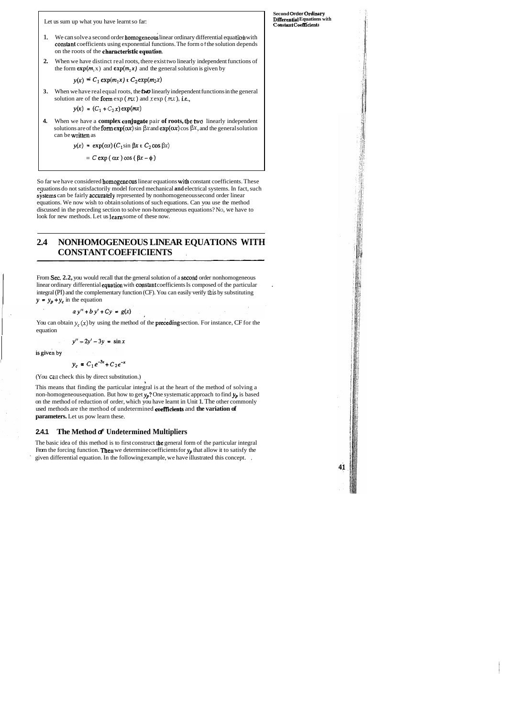Let us sum up what you have learnt so far:

- 1. We can solve a second order homogeneous linear ordinary differential equation with constant coefficients using exponential functions. The form of the solution depends on the roots of the charncteristicequation.
- **2.** When we have distinct real roots, there exist two linearly independent functions of the form  $exp(m_1 x)$  and  $exp(m_2 x)$  and the general solution is given by

 $y(x) = C_1 \exp(m_1 x) + C_2 \exp(m_2 x)$ 

**3.** When we have real equal roots, the **two** linearly independent functions in the general solution are of the form  $\exp(mx)$  and  $x \exp(mx)$ , i.e.,

$$
y(x) = (C_1 + C_2 x) \exp(mx)
$$

**4.** When we have a **complex** coqjugate pair **of roots,** tbe **two** linearly independent solutions are of the form  $exp(\alpha x)$  sin  $\beta x$  and  $exp(\alpha x)$  cos  $\beta x$ , and the general solution can be written as

$$
y(x) = \exp(\alpha x) (C_1 \sin \beta x + C_2 \cos \beta x)
$$

$$
= C \exp(\alpha x) \cos(\beta x - \phi)
$$

So far we have considered **homogeneous** linear equations with constant coefficients. These equations do not satisfactorily model forced mechanical and electrical systems. In fact, such systems can be fairly accurately represented by nonhomogeneous second order linear equations. We now wish to obtain solutions of such equations. Can you use the method discussed in the preceding section to solve non-homogeneous equations? NO, we have to look for new methods. Let us learn some of these now.

You can obtain  $y_c(x)$  by using the method of the **preceding** section. For instance, CF for the equation

$$
y''-2y'-3y=\sin x
$$

is given by

## **2.4 NONHOMOGENEOUS LINEAR EQUATIONS WITH CONSTANT COEFFICIENTS** ,

From Sec. 2.2, you would recall that the general solution of a second order nonhomogeneous linear ordinary differential equation with constant coefficients Is composed of the particular integral (PI) and the complementary function (CF). You can easily verify **this** by substituting  $y = y_p + y_c$  in the equation

$$
a y'' + b y' + C y = g(x)
$$

**Second Order Ordinary Dflerential Equations with Constant Coef&ients** 

41

$$
y_c = C_1 e^{-3x} + C_2 e^{-x}
$$

(You **can** check this by direct substitution.)

**Y**  This means that finding the particular integral is at the heart of the method of solving a non-homogeneous equation. But how to get  $y_p$ ? One systematic approach to find  $y_p$  is based on the method of reduction of order, which you have learnt in Unit 1. The other commonly used methods are the method of undetermined **coefficients** and the variation of **parameters.** Let us pow learn these.

#### **2.4.1 The Method of Undetermined Multipliers**

The basic idea of this method is to first construct the general form of the particular integral From the forcing function. Then we determine coefficients for  $y_p$  that allow it to satisfy the given differential equation. In the following example, we have illustrated this concept. ,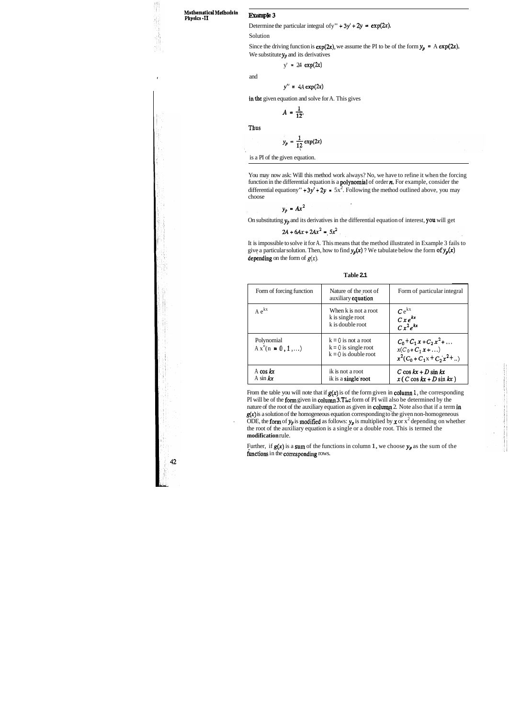#### **Matbematicd Methods In Physics. I1**

**那是高等的事情** 

Determine the particular integral of  $y'' + 3y' + 2y = \exp(2x)$ .

Solution

**Example 3** 

Since the driving function is  $exp(2x)$ , we assume the PI to be of the form  $y_p = A exp(2x)$ . We substitute  $y_p$  and its derivatives

 $y' = 24 \exp(2x)$ 

and

$$
y'' = 4A \exp(2x)
$$

in the given equation and solve for A. This gives

$$
A=\frac{1}{12}
$$

Thus

$$
y_p = \frac{1}{12} \exp(2x)
$$

is a PI of the given equation.

It is impossible to solve it for A. This means that the method illustrated in Example 3 fails to give a particular solution. Then, how to find  $y_p(x)$  ? We tabulate below the form of  $y_p(x)$ depending on the form of  $g(x)$ .

You may now ask: Will this method work always? No, we have to refine it when the forcing function in the differential equation is a polynomial of order n. For example, consider the differential equationy" +  $3y' + 2y = 5x^2$ . Following the method outlined above, you may choose

$$
y_p = Ax^2
$$

On substituting  $y_p$  and its derivatives in the differential equation of interest, you will get

$$
2A + 6Ax + 2Ax^2 = 5x^2
$$

From the table you will note that if  $g(x)$  is of the form given in column 1, the corresponding PI will be of the form given in column  $3.$  The form of PI will also be determined by the nature of the root of the auxiliary equation as given in column 2. Note also that if a term in  $g(x)$  is a solution of the homogeneous equation corresponding to the given non-homogeneous ODE, the form of  $y_p$  is modified as follows:  $y_p$  is multiplied by x or  $x^2$  depending on whether the root of the auxiliary equation is a single or a double root. This is termed the **modification** rule.

Further, if  $g(x)$  is a sum of the functions in column 1, we choose  $y_p$  as the sum of the functions in the corresponding rows.

$$
\sum_{i=1}^{n} \sum_{j=1}^{n} \sum_{j=1}^{n} \sum_{j=1}^{n} \sum_{j=1}^{n} \sum_{j=1}^{n} \sum_{j=1}^{n} \sum_{j=1}^{n} \sum_{j=1}^{n} \sum_{j=1}^{n} \sum_{j=1}^{n} \sum_{j=1}^{n} \sum_{j=1}^{n} \sum_{j=1}^{n} \sum_{j=1}^{n} \sum_{j=1}^{n} \sum_{j=1}^{n} \sum_{j=1}^{n} \sum_{j=1}^{n} \sum_{j=1}^{n} \sum_{j=1}^{n} \sum_{j=1}^{n} \sum_{j=1}^{n} \sum_{j=1}^{n} \sum_{j=1}^{n} \sum_{j=1}^{n} \sum_{j=1}^{n} \sum_{j=1}^{n} \sum_{j=1}^{n} \sum_{j=1}^{n} \sum_{j=1}^{n} \sum_{j=1}^{n} \sum_{j=1}^{n} \sum_{j=1}^{n} \sum_{j=1}^{n} \sum_{j=1}^{n} \sum_{j=1}^{n} \sum_{j=1}^{n} \sum_{j=1}^{n} \sum_{j=1}^{n} \sum_{j=1}^{n} \sum_{j=1}^{n} \sum_{j=1}^{n} \sum_{j=1}^{n} \sum_{j=1}^{n} \sum_{j=1}^{n} \sum_{j=1}^{n} \sum_{j=1}^{n} \sum_{j=1}^{n} \sum_{j=1}^{n} \sum_{j=1}^{n} \sum_{j=1}^{n} \sum_{j=1}^{n} \sum_{j=1}^{n} \sum_{j=1}^{n} \sum_{j=1}^{n} \sum_{j=1}^{n} \sum_{j=1}^{n} \sum_{j=1}^{n} \sum_{j=1}^{n} \sum_{j=1}^{n} \sum_{j=1}^{n} \sum_{j=1}^{n} \sum_{j=1}^{n} \sum_{j=1}^{n} \sum_{j=1}^{n} \sum_{j=1}^{n} \sum_{j=1}^{n} \sum_{j=1}^{n} \sum_{j=1}^{n} \sum_{j=1}^{n} \sum_{j=1}^{n} \sum_{j=1}^{n} \sum_{j=1}^{n} \sum_{j=1}^{n} \sum_{j=1}^{n}
$$

**Table 2.1** 

| Form of forcing function           | Nature of the root of<br>auxiliary equation                               | Form of particular integral                                                                      |
|------------------------------------|---------------------------------------------------------------------------|--------------------------------------------------------------------------------------------------|
| $A e^{kx}$                         | When k is not a root<br>k is single root<br>k is double root              | $C e^{kx}$<br>$Cxe^{kx}$<br>$Cx^2e^{kx}$                                                         |
| Polynomial<br>$A x^n (n = 0, 1, )$ | $k = 0$ is not a root<br>$k = 0$ is single root<br>$k = 0$ is double root | $C_0$ + $C_1$ x + $C_2$ x <sup>2</sup> +<br>$x(C_0 + C_1 x + )$<br>$x^2(C_0 + C_1x + C_2x^2 + )$ |
| A cos $kx$<br>A sin $kx$           | ik is not a root<br>ik is a single root                                   | C cos $kx + D \sin kx$<br>$x(C \cos kx + D \sin kx)$                                             |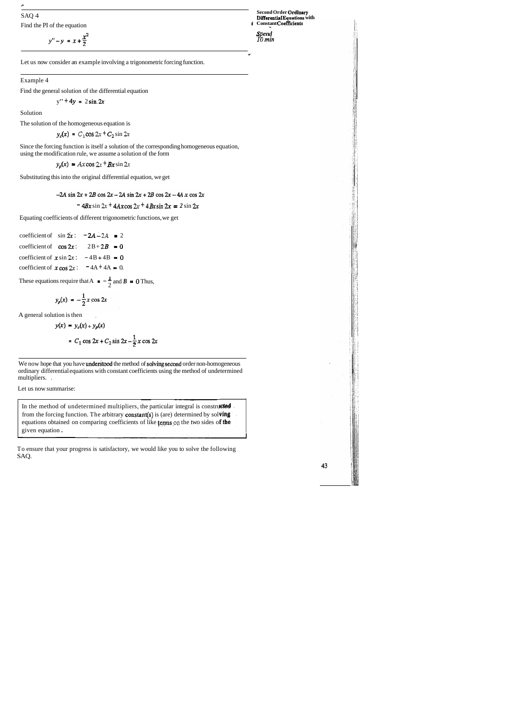?+

Find the PI of the equation **i Constant Coefficients** 

SAQ 4 **Second Order Ordinary DiRemtial Equations with** 

**Spend**<br>*10 min* 

$$
y'' - y = x + \frac{x^2}{2}
$$

**C** 

43

Let us now consider an example involving a trigonometric forcing function.

#### Example 4

Find the general solution of the differential equation

$$
y'' + 4y = 2 \sin 2x
$$

Solution

The solution of the homogeneous equation is

 $y_c(x) = C_1 \cos 2x + C_2 \sin 2x$ 

Since the forcing function is itself a solution of the corresponding homogeneous equation, using the modification rule, we assume a solution of the form

 $y_p(x) = Ax \cos 2x + Bx \sin 2x$ 

Substituting this into the original differential equation, we get

 $-2A \sin 2x + 2B \cos 2x - 2A \sin 2x + 2B \cos 2x - 4A x \cos 2x$ 

 $- 4Bx \sin 2x + 4Ax \cos 2x + 4Bx \sin 2x = 2 \sin 2x$ 

Equating coefficients of different trigonometric functions, we get

| coefficient of $\sin 2x$ : $-2A-2A = 2$        |  |
|------------------------------------------------|--|
| coefficient of $\cos 2x$ : $2B + 2B = 0$       |  |
| coefficient of $x \sin 2x$ : $-4B + 4B = 0$    |  |
| coefficient of $x \cos 2x$ : $= 4A + 4A = 0$ . |  |

These equations require that  $A = -\frac{1}{2}$  and  $B = 0$  Thus,

$$
y_p(x) = -\frac{1}{2}x\cos 2x
$$

A general solution is then ,

$$
y(x) = y_c(x) + y_p(x)
$$
  
=  $C_1 \cos 2x + C_2 \sin 2x - \frac{1}{2}x \cos 2x$ 

We now hope that you have understood the method of solving second order non-homogeneous ordinary differential equations with constant coefficients using the method of undetermined multipliers. . In the method of undetermined multipliers, the particular integral is constructed<br>In the method of undetermined multipliers, the particular integral is constructed

Let us now summarise:

from the forcing function. The arbitrary constant(s) is (are) determined by solving equations obtained on comparing coefficients of like terms on the two sides of the et us now summarise:<br>In the method of undetermined multipliers, the particular integral is constructed<br>from the forcing function. The arbitrary **constant(s)** is (are) determined by solving<br>equations obtained on comparing c

To ensure that your progress is satisfactory, we would like you to solve the following SAQ.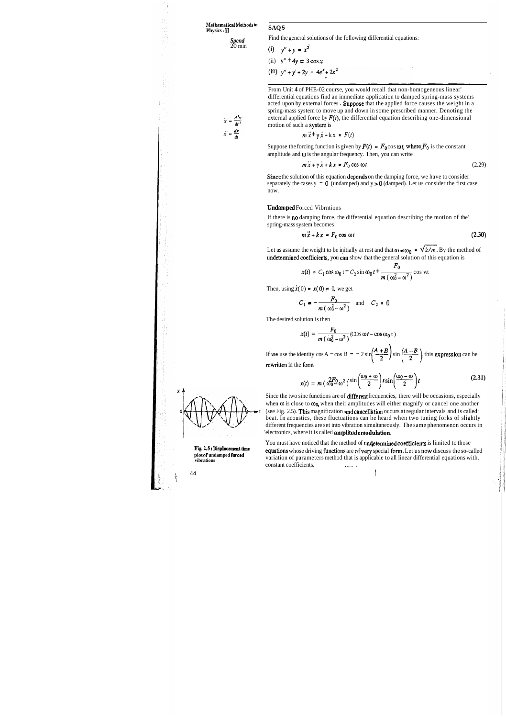$\frac{Spend}{20 \min}$ 

Find the general solutions of the following differential equations:

(i) 
$$
y'' + y = x^2
$$
  
\n(ii)  $y'' + 4y = 3 \cos x$ 

(iii)  $y'' + y' + 2y = 4e^x + 2x^2$ 

- - From Unit **4** of PHE-02 course, you would recall that non-homogeneous linear' differential equations find an immediate application to damped spring-mass systems acted upon by external forces . Suppose that the applied force causes the weight in a spring-mass system to move up and down in some prescribed manner. Denoting the external applied force by  $F(t)$ , the differential equation describing one-dimensional motion of such a system is

Since the solution of this equation depends on the damping force, we have to consider separately the cases  $y = 0$  (undamped) and  $y > 0$  (damped). Let us consider the first case now.

$$
m\ddot{x} + y\dot{x} + kx = F(t)
$$

Suppose the forcing function is given by  $F(t) = F_0 \cos \omega t$ , where  $F_0$  is the constant amplitude and  $\omega$  is the angular frequency. Then, you can write

$$
m\ddot{x} + y\dot{x} + kx = F_0 \cos \omega t \tag{2.29}
$$

Since the two sine functions are of different frequencies, there will be occasions, especially when  $\omega$  is close to  $\omega_0$ , when their amplitudes will either magnify or cancel one another (see Fig. 2.5). This magnification and cancellation occurs at regular intervals and is called ' beat. In acoustics, these fluctuations can be heard when two tuning forks of slightly different frequencies are set into vibration simultaneously. The same phenomenon occurs in 'electronics, where it is called **amplitude modulation.** 

You must have noticed that the method of undetermined coefficients is limited to those Fig. 2.5 **: Displacement time** equations whose driving functions are of very special form. Let us now discuss the so-called **plot of undamped forced** variation of parameters method that is applicable to all linear differential equations with.<br>
constant coefficients. constant coefficients.

#### Undamped Forced Vibrntions

If there is no damping force, the differential equation describing the motion of the' spring-mass system becomes

$$
m\ddot{x} + kx = F_0 \cos \omega t \tag{2.30}
$$

spring-mass system becomes<br>  $m \ddot{x} + kx = F_0 \cos \omega t$  (2.34)<br>
Let us assume the weight to be initially at rest and that  $\omega \neq \omega_0 = \sqrt{k/m}$ . By the method of undetermined coefficients, you can show that the general solution of t

$$
x(t) = C_1 \cos \omega_0 t + C_2 \sin \omega_0 t + \frac{F_0}{m(\omega_0^2 - \omega^2)} \cos wt
$$

Then, using  $\dot{x}(0) = x(0) = 0$ , we get

$$
C_1 = -\frac{F_0}{m(\omega_0^2 - \omega^2)} \quad \text{and} \quad C_2 = 0
$$

The desired solution is then

$$
x(t) = \frac{F_0}{m(\omega_0^2 - \omega^2)} (\cos \omega t - \cos \omega_0 t)
$$

The desired solution is then<br>  $x(t) = \frac{F_0}{m(\omega_0^2 - \omega^2)} (\cos \omega t - \cos \omega_0 t)$ <br>
If we use the identity  $\cos A - \cos B = -2 \sin \left(\frac{A+B}{2}\right) \sin \left(\frac{A-B}{2}\right)$ , this expression can be<br>
rewritten in the form rewritten in the form

$$
\left(2^{r}\begin{pmatrix}2\end{pmatrix}\right)^{r}
$$
  
from  

$$
x(t) = m\left(\omega_0^2 \frac{2F_0}{\omega^2}\omega^2\right)^{r} \sin\left(\frac{\omega_0 + \omega}{2}\right) t \sin\left(\frac{\omega_0 - \omega}{2}\right) t
$$
 (2.31)

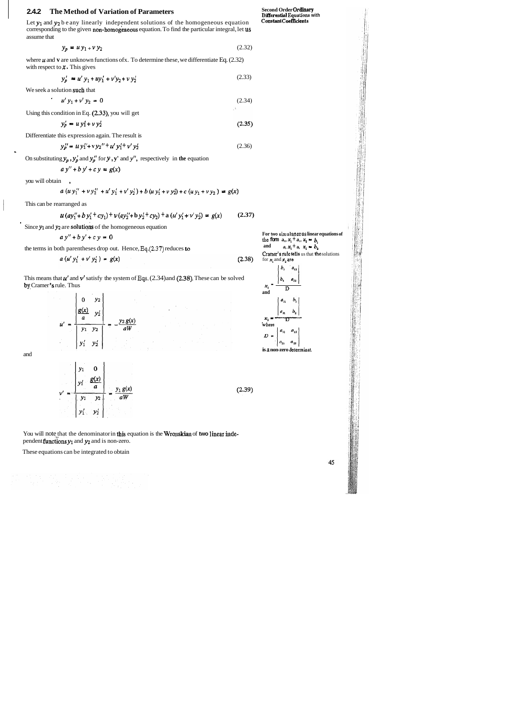#### **2.4.2 The Method of Variation of Parameters**

Let  $y_1$  and  $y_2$  be any linearly independent solutions of the homogeneous equation corresponding to the given non-homogeneous equation. To find the particular integral, let us assume that

$$
y_p = uy_1 + vy_2 \tag{2.32}
$$

where  $\boldsymbol{\mu}$  and  $\boldsymbol{v}$  are unknown functions ofx. To determine these, we differentiate Eq. (2.32) with respect to  $x$ . This gives

$$
y_p' = u' y_1 + uy_1' + v'y_2 + v y_2'
$$
 (2.33)

We seek a solution such that

$$
u' y_1 + v' y_2 = 0 \tag{2.34}
$$

Using this condition in Eq. (2.33), you will get

$$
y'_p = u y'_1 + v y'_2 \tag{2.35}
$$

Differentiate this expression again. The result is

$$
y_p'' = u y_1' + v y_2'' + u' y_1' + v' y_2'
$$
 (2.36)

On substituting  $y_p$ ,  $y'_p$  and  $y''_p$  for  $y$ ,  $y'$  and  $y''$ , respectively in the equation

$$
a y'' + b y' + c y = g(x)
$$

you will obtain ,

$$
a (u y_1'' + v y_2'' + u' y_1' + v' y_2') + b (u y_1' + v y_2') + c (u y_1 + v y_2) = g(x)
$$

This can be rearranged as

$$
u (ay''_1 + by'_1 + cy_1) + v (ay''_2 + by'_2 + cy_2) + a (u'y'_1 + v'y'_2) = g(x)
$$
 (2.37)

Since  $y_1$  and  $y_2$  are **solutions** of the homogeneous equation

$$
ay'' + by' + cy = 0
$$

the terms in both parentheses drop out. Hence, **Eq.(2.37)** reduces ta

$$
a (u' y_1' + v' y_2') = g(x) \tag{2.38}
$$

This means that  $u'$  and  $v'$  satisfy the system of Eqs.  $(2.34)$  and  $(2.38)$ . These can be solved by Cramer's rule. Thus



and



You will note that the denominator in this equation is the Wromskian of two linear independent **functions**  $y_1$  and  $y_2$  and is non-zero.

**Second Order Ordiaary Differential** Equations with **Constaat Coefficients** 



**is s non-zero determinat.** 

45

These equations can be integrated to obtain

이 보이지 않는다. 이 사람들<br>사이 사회 회사는 사람들은

For two simultaneous linear equations of the form  $a_1$ ,  $x_1 + a_2$ ,  $x_2 - b_1$ <br>and  $a_1x_1 + a_2x_2 - b_2$  $a, x_1 + a, x_2 + b_2$ Cramer's rule tells us that the solutions for **x,** and *r,* **are**  Ъ.  $a_{12}$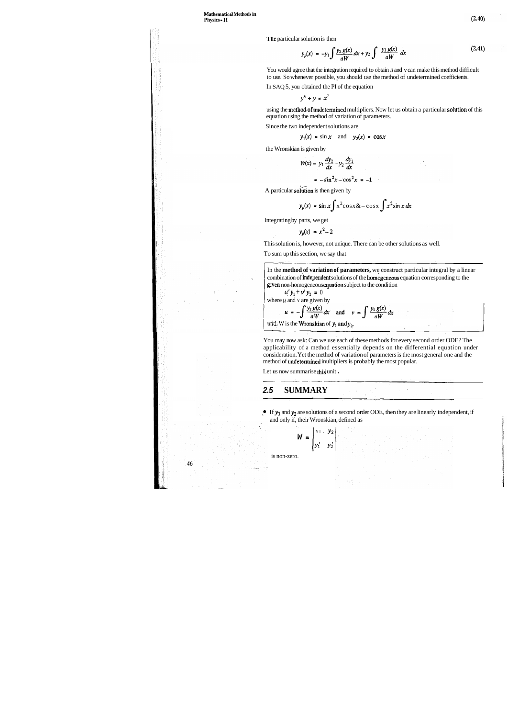'lhe particular solution is then

$$
y_p(x) = -y_1 \int \frac{y_2 g(x)}{aW} dx + y_2 \int \frac{y_1 g(x)}{aW} dx
$$
 (2.41)

You would agree that the integration required to obtain  $u$  and v can make this method difficult to use. So whenever possible, you should use the method of undetermined coefficients.

using the method of undetermined multipliers. Now let us obtain a particular solution of this equation using the method of variation of parameters.

In SAQ 5, you obtained the PI of the equation

 $y'' + y = x^2$ 

Since the two independent solutions are

$$
y_1(x) = \sin x
$$
 and  $y_2(x) = \cos x$ 

the Wronskian is given by

$$
W(x) = y_1 \frac{dy_2}{dx} - y_2 \frac{dy_1}{dx}
$$

$$
= -\sin^2 x - \cos^2 x = -1
$$

A particular solution is then given by

$$
y_p(x) = \sin x \int x^2 \cos x \& -\cos x \int x^2 \sin x \, dx
$$

Integrating by parts, we get

 $y_p(x) = x^2 - 2$ 

This solution is, however, not unique. There can be other solutions as well.

To sum up this section, we say that

If  $y_1$  and  $y_2$  are solutions of a second order ODE, then they are linearly independent, if and only if, their Wronskian, defined as

In the **method of variation of parameters,** we construct particular integral by a linear combination of independent solutions of the homogeneous equation corresponding to the given non-homogeneous equation subject to the condition

where 
$$
u
$$
 and  $v$  are given by  
\n
$$
u = -\int \frac{y_2 g(x)}{aW} dx
$$
 and  $v = \int \frac{y_1 g(x)}{aW} dx$   
\nand  $y = \int \frac{y_1 g(x)}{aW} dx$ 

You may now ask: Can we use each of these methods for every second order ODE? The applicability of a method essentially depends on the differential equation under consideration. Yet the method of variation of parameters is the most general one and the method of undetermined inultipliers is probably the most popular.

Let us now summarise this unit

## **2.5 SUMMARY**

$$
\mathbf{W} = \begin{vmatrix} y_1 & y_2 \\ y'_1 & y'_2 \end{vmatrix}.
$$

is non-zero.

46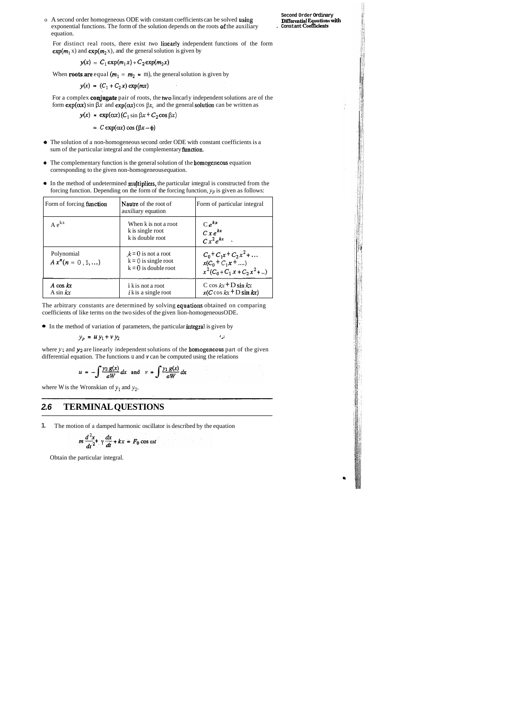o A second order homogeneous ODE with constant coefficients can be solved using exponential functions. The form of the solution depends on the roots of the auxiliary equation.

For distinct real roots, there exist two linearly independent functions of the form  $exp(m_1 x)$  and  $exp(m_2 x)$ , and the general solution is given by

$$
y(x) = C_1 \exp(m_1 x) + C_2 \exp(m_2 x)
$$

When **roots are** equal  $(m_1 = m_2 = m)$ , the general solution is given by

 $y(x) = (C_1 + C_2 x) \exp(mx)$ 

For a complex conjugate pair of roots, the two lincarly independent solutions are of the form  $exp(\alpha x)$  sin  $\beta x$  and  $exp(\alpha x)$  cos  $\beta x$ , and the general solution can be written as

 $y(x) = \exp(\alpha x) (C_1 \sin \beta x + C_2 \cos \beta x)$ 

=  $C \exp(\alpha x) \cos(\beta x - \phi)$ 

The arbitrary constants are determined by solving equations obtained on comparing coefficients of like terms on the two sides of the given lion-homogeneous ODE.

• In the method of variation of parameters, the particular integral is given by

where  $y_1$  and  $y_2$  are linearly independent solutions of the homogeneous part of the given differential equation. The functions u and **v** can be computed using the relations

$$
u = -\int \frac{y_2 g(x)}{aW} dx \text{ and } v = \int \frac{y_1 g(x)}{aW} dx
$$

where W is the Wronskian of  $y_1$  and  $y_2$ .

- **o** The solution of a non-homogeneous second order ODE with constant coefficients is a sum of the particular integral and the complementary function.
- The complementary function is the general solution of the **homogeneous** equation corresponding to the given non-homogeneous equation.
- **0** In the method of undetermined muJtipliers, the particular integral is constructed from the forcing function. Depending on the form of the forcing function, *yp* is given as follows:

$$
y_p = u y_1 + v y_2
$$

| Form of forcing function          | <b>Nautre</b> of the root of<br>auxiliary equation                        | Form of particular integral                                                               |
|-----------------------------------|---------------------------------------------------------------------------|-------------------------------------------------------------------------------------------|
| $A e^{kX}$                        | When k is not a root<br>k is single root<br>k is double root              | $Ce^{kx}$<br>$Cx e^{kx}$<br>$Cx^2e^{kx}$                                                  |
| Polynomial<br>$A xn (n = 0, 1, )$ | $k = 0$ is not a root<br>$k = 0$ is single root<br>$k = 0$ is double root | $C_0$ + $C_1x$ + $C_2x^2$ +<br>$x(C_0 + C_1 x + )$<br>$x^{2}(C_0 + C_1 x + C_2 x^{2} + )$ |
| $A \cos kx$<br>A sin $kx$         | <i>i</i> k is not a root<br>$i$ k is a single root                        | C cos $kx + D \sin kx$<br>$x(C \cos kx + D \sin kx)$                                      |

## **2.6 TERMINAL QUESTIONS**

1. The motion of a damped harmonic oscillator is described by the equation

$$
m\frac{d^2x}{dt^2} + \gamma\frac{dx}{dt} + kx = F_0 \cos \omega t
$$

Obtain the particular integral.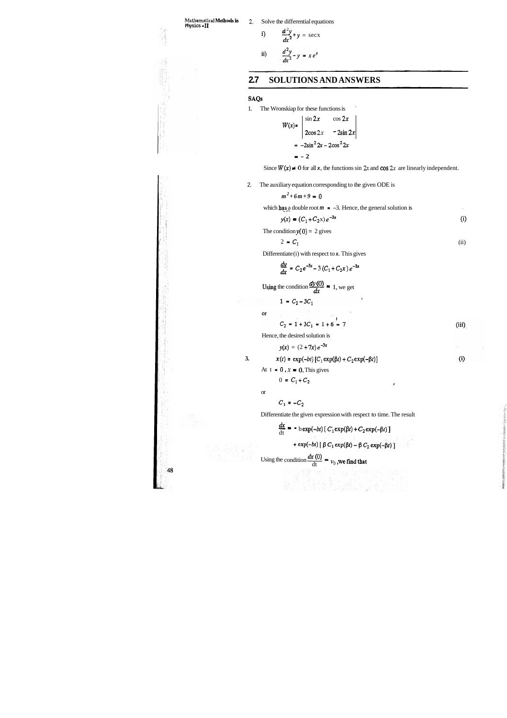ji<br>Vi

-48

**Mathematical Methods in** 2. Solve the differential equations **Physics - II** 

i) 
$$
\frac{d^2y}{dx^2} + y = \sec x
$$
  
ii) 
$$
\frac{d^2y}{dx^2} - y = xe^x
$$

## **2.7 SOLUTIONS AND ANSWERS**

#### **SAQs**

1. The Wronskiap for these functions is '

2. The auxiliary equation corresponding to the given ODE is

$$
m^2+6m+9=0
$$

which **has** a double root  $m = -3$ . Hence, the general solution is

$$
W(x) = \begin{vmatrix} \sin 2x & \cos 2x \\ 2\cos 2x & -2\sin 2x \end{vmatrix}
$$
  
= -2sin<sup>2</sup> 2x - 2cos<sup>2</sup> 2x  
= -2

Since  $W(x) \neq 0$  for all x, the functions sin 2x and cos 2x are linearly independent.

$$
y(x) = (C_1 + C_2 x) e^{-3x}
$$
 (i)

 $(iii)$ 

 $(i)$ 

The condition  $y(0) = 2$  gives

Differentiate (i) with respect to **x**. This gives  

$$
\frac{dy}{dx} = C_2 e^{-3x} - 3(C_1 + C_2 x) e^{-3x}
$$

Using the condition  $\frac{dy(0)}{dx} = 1$ , we get  $1 = C_2 - 3C_1$ 

 $C_2 = 1 + 3C_1 = 1 + 6 = 7$ 

Hence, the desired solution is

 $y(x) = (2 + 7x) e^{-3x}$ 

3.  $x(t) = \exp(-bt) [C_1 \exp(\beta t) + C_2 \exp(-\beta t)]$ 

At  $t = 0$ ,  $x = 0$ . This gives

$$
2 = C_1 \tag{ii}
$$

or

 $\alpha$ 

$$
C_1 = -C_2
$$

g as compositor and<br>Caracter and the compositor<br>Caracter and the compositor

 $0 = C_1 + C_2$ 

Differentiate the given expression with respect to time. The result  
\n
$$
\frac{dx}{dt} = -b \exp(-bt) [C_1 \exp(\beta t) + C_2 \exp(-\beta t)] + \exp(-bt) [\beta C_1 \exp(\beta t) - \beta C_2 \exp(-\beta t)]
$$

Using the condition  $\frac{dx(0)}{dt} = v_0$ , we find that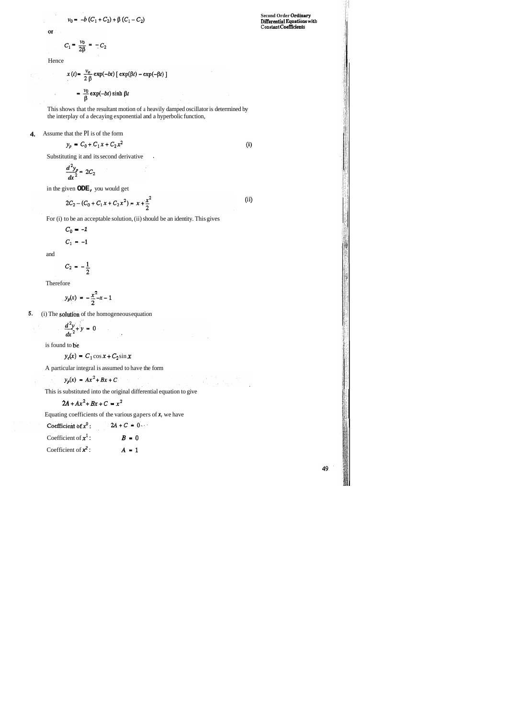$$
= -b (C_1 + C_2) + \beta (C_1 - C_2)
$$

or.

 $v_{0}$ 

$$
C_1 = \frac{v_0}{2\beta} = -C_2
$$

**Second Order Ordinary Ditrerential Equstions wllb Constant CoeMcients** 

 $(i)$ 

 $(ii)$ 

na<br>Santa

Hence

$$
x(t) = \frac{v_o}{2 \beta} \exp(-bt) [\exp(\beta t) - \exp(-\beta t)]
$$

$$
= \frac{v_0}{\beta} \exp(-bt) \sinh \beta t
$$

This shows that the resultant motion of a heavily damped oscillator is determined by the interplay of a decaying exponential and a hyperbolic function,

### **4.** Assume that the PI is of the form

 $y_p = C_0 + C_1 x + C_2 x^2$ 

Substituting it and its second derivative .

$$
\frac{d^2y_p}{dx^2} = 2C_2
$$

in the given **ODE,** you would get

$$
2C_2 - (C_0 + C_1 x + C_2 x^2) = x + \frac{x^2}{2}
$$

For (i) to be an acceptable solution, (ii) should be an identity. This gives

$$
C_0 = -1
$$
  

$$
C_1 = -1
$$

and

$$
C_2 = -\frac{1}{2}
$$

Therefore

$$
y_p(x) = -\frac{x^2}{2} - x - 1
$$

**5.** (i) The **solution** of the homogeneous equation

$$
\frac{d^2y}{dx^2} + y = 0
$$

is found to be

 $\mathcal{A}$ 

 $y_c(x) = C_1 \cos x + C_2 \sin x$ 

A particular integral is assumed to have the form

$$
y_p(x) = Ax^2 + Bx + C
$$

This is substituted into the original differential equation to give

$$
2A + Ax^2 + Bx + C = x^2
$$

Equating coefficients of the various gapers of **x,** we have

Coefficient of  $x^0$ :  $2A + C = 0$ Coefficient of  $x^1$ : *B* = 0 Coefficient of  $x^2$ :  $A = 1$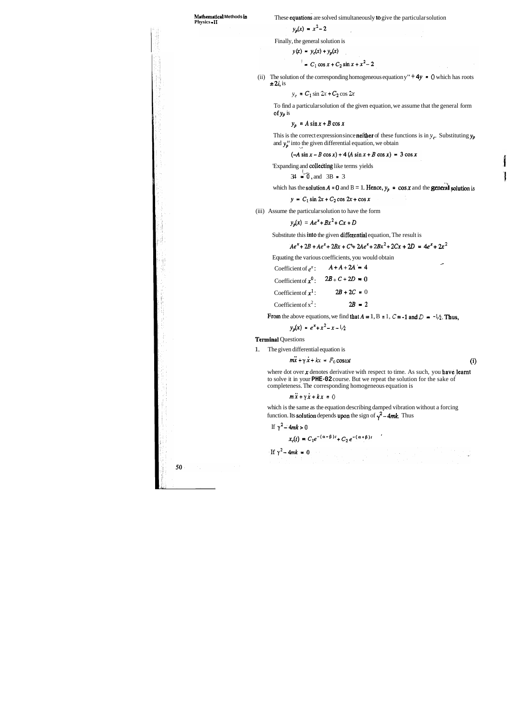**Mathematical Methods in** These **equations** are solved simultaneously **to** give the particular solution **Physics - II** 

$$
y_p(x) = x^2 - 2
$$

Finally, the general solution is

$$
y(x) = y_c(x) + y_p(x)
$$

$$
x^2 = C_1 \cos x + C_2 \sin x + x^2 - 2
$$

(ii) The solution of the corresponding homogeneous equation y"  $+ 4y = 0$  which has roots  $\pm 2i$ , is

To find a particular solution of the given equation, we assume that the general form of  $y_p$  is

$$
y_c = C_1 \sin 2x + C_2 \cos 2x
$$

$$
y_p = A \sin x + B \cos x
$$

This is the correct expression since **neither** of these functions is in  $y_c$ . Substituting  $y_p$ and  $y_p''$  into the given differential equation, we obtain

 $(-A \sin x - B \cos x) + 4 (A \sin x + B \cos x) = 3 \cos x$ 

'Expanding and collecting like terms yields

$$
34 = 0
$$
, and  $3B = 3$ 

which has the **solution**  $A = 0$  and  $B = 1$ . Hence,  $y_p = \cos x$  and the **general solution** is

$$
y = C_1 \sin 2x + C_2 \cos 2x + \cos x
$$

(iii) Assume the particular solution to have the form

where dot over  $x$  denotes derivative with respect to time. As such, you have learnt to solve it in your **PHE-02** course. But we repeat the solution for the sake of completeness. The corresponding homogeneous equation is

which is the same as the equation describing damped vibration without a forcing function. Its **solution** depends upon the sign of  $\gamma^2$  – 4mk. Thus

$$
y_p(x) = Ae^x + Bx^2 + Cx + D
$$

Substitute this into the given differential equation, The result is

$$
Ae^{x} + 2B + Ae^{x} + 2Bx + C + 2Ae^{x} + 2Bx^{2} + 2Cx + 2D = 4e^{x} + 2x^{2}
$$

Equating the various coefficients, you would obtain  
Coefficient of 
$$
e^x
$$
:  $A + A + 2A = 4$ 

Coefficient of  $x^0$ :  $2B + C + 2D = 0$ 

Coefficient of  $x^1$ :  $2B + 2C = 0$ 

Coefficient of  $x^2$ : 28 = 2

From the above equations, we find that  $A = 1$ ,  $B = 1$ ,  $C = -1$  and  $D = -1/\lambda$ . Thus,

 $y_p(x) = e^x + x^2 - x - 1/x$ 

Terminal Questions

1. The given differential equation is

 $m\ddot{x} + \gamma \dot{x} + kx = F_0 \cos \omega t$  (i)

$$
m\ddot{x} + \gamma \dot{x} + kx = 0
$$

If 
$$
\gamma^2 - 4mk > 0
$$

$$
x_c(t) = C_1 e^{-(\alpha - \beta)t} + C_2 e^{-(\alpha + \beta)t}
$$

50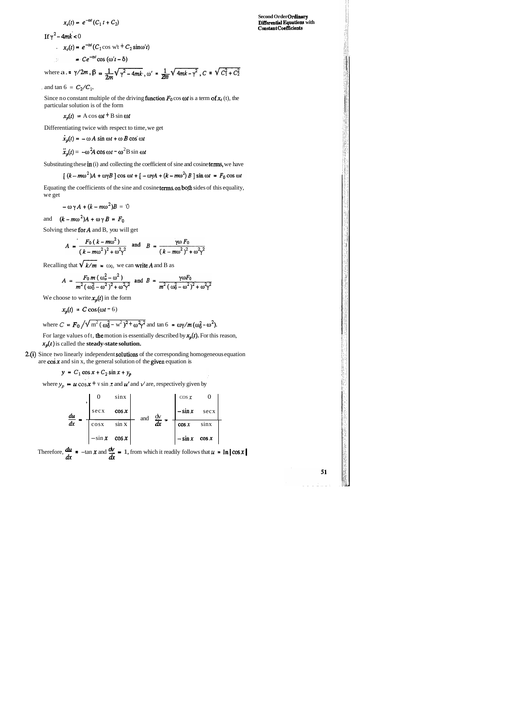$$
x_c(t) = e^{-\alpha t} (C_1 t + C_2)
$$

 $1f y^2 - 4mk < 0$ 

$$
x_c(t) = e^{-\alpha t} (C_1 \cos \psi t + C_2 \sin \omega' t)
$$

$$
= Ce^{-\alpha t} \cos{(\omega' t - \delta)}
$$

where 
$$
a = \gamma/2m
$$
,  $\beta = \frac{1}{2m}\sqrt{\gamma^2 - 4mk}$ ,  $\omega' = \frac{1}{2m}\sqrt{4mk - \gamma^2}$ ,  $C = \sqrt{C_1^2 + C_2^2}$ 

, and tan  $6 = C_2/C_1$ .

Since no constant multiple of the driving function  $F_0$  cos  $\omega t$  is a term of  $x_c$  (t), the particular solution is of the form

$$
x_p(t) = A \cos \omega t + B \sin \omega t
$$

Equating the coefficients of the sine and cosine terms on both sides of this equality, we get

Differentiating twice with respect to time, we get

$$
\dot{x}_p(t) = -\omega A \sin \omega t + \omega B \cos \omega t
$$

$$
\ddot{x}_p(t) = -\omega^2 A \cos \omega t - \omega^2 B \sin \omega t
$$

Substituting these in (i) and collecting the coefficient of sine and cosine terms, we have

$$
[(k-m\omega^{2})A + \omega\gamma B] \cos \omega t + [-\omega\gamma A + (k-m\omega^{2})B] \sin \omega t = F_{0} \cos \omega t
$$

$$
-\omega \gamma A + (k - m\omega^2)B = 0
$$

and  $(k-m\omega^2)A+\omega\gamma B = F_0$ 

Solving these for  $A$  and  $B$ , you will get

$$
A = \frac{F_0 (k - m\omega^2)}{(k - m\omega^2)^2 + \omega^2 \gamma^2} \text{ and } B = \frac{\gamma \omega F_0}{(k - m\omega^2)^2 + \omega^2 \gamma^2}
$$

Recalling that  $\sqrt{k/m} = \omega_0$ , we can write A and B as

$$
A = \frac{F_0 m (\omega_o^2 - \omega^2)}{m^2 (\omega_0^2 - \omega^2)^2 + \omega^2 \gamma^2}
$$
 and  $B = \frac{\gamma \omega F_0}{m^2 (\omega_0^2 - \omega^2)^2 + \omega^2 \gamma^2}$ 

We choose to write  $x_p(t)$  in the form

51

$$
x_p(t) = C \cos{(\omega t - 6)}
$$

where 
$$
C = F_0 / \sqrt{m^2 (\omega_0^2 - w^2)^2 + \omega^2 \gamma^2}
$$
 and  $\tan 6 = \omega \gamma / m (\omega_0^2 - \omega^2)$ .

For large values oft, the motion is essentially described by  $x_p(t)$ . For this reason,  $x_p(t)$  is called the **steady-state solution.** 

2.(i) Since two linearly independent solutions of the corresponding homogeneous equation are  $\cos x$  and  $\sin x$ , the general solution of the given equation is

$$
y = C_1 \cos x + C_2 \sin x + y_p
$$

where  $y_p = u \cos x + v \sin x$  and  $u'$  and  $v'$  are, respectively given by

$$
\frac{du}{dx} = \begin{bmatrix} 0 & \sin x \\ \sec x & \cos x \\ \cos x & \sin x \\ -\sin x & \cos x \end{bmatrix} \text{ and } \frac{dv}{dx} = \begin{bmatrix} \cos x & 0 \\ -\sin x & \sec x \\ \cos x & \sin x \\ -\sin x & \cos x \end{bmatrix}
$$

Therefore,  $\frac{d\mu}{dx} = -\tan x$  and  $\frac{d\mu}{dx} = 1$ , from which it readily follows that  $u = \ln |\cos x|$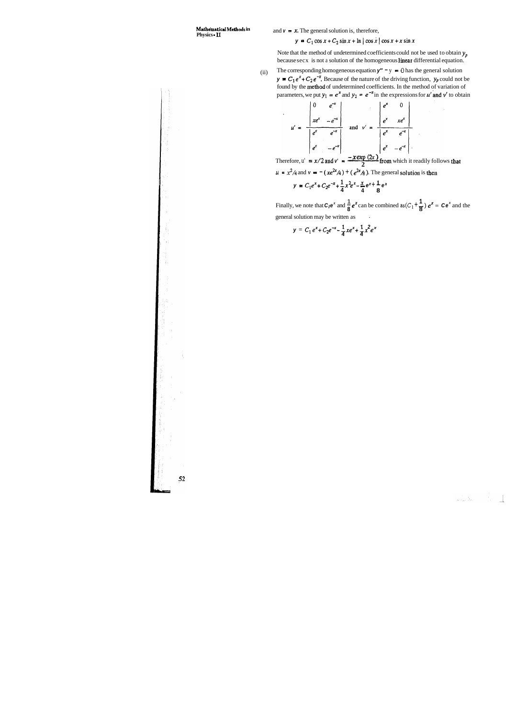**Mathematical Methods in** and  $v = x$ . The general solution is, therefore, **Physics - 11** 

 $y = C_1 \cos x + C_2 \sin x + \ln |\cos x| \cos x + x \sin x$ 

Note that the method of undetermined coefficients could not be used to obtain  $y_p$ because secx is not a solution of the homogeneous linear differential equation.

(ii) The corresponding homogeneous equation  $y'' - y = 0$  has the general solution *y* =  $C_1 e^x + C_2 e^{-x}$ . Because of the nature of the driving function,  $y_p$  could not be found by the methad of undetermined coefficients. In the method of variation of parameters, we put  $y_1 = e^x$  and  $y_2 = e^{-x}$  in the expressions for **u' and v'** to obtain

$$
u' = \frac{\begin{vmatrix} 0 & e^{-x} \\ xe^{x} & -e^{-x} \end{vmatrix}}{\begin{vmatrix} e^{x} & e^{-x} \\ e^{x} & -e^{-x} \end{vmatrix}} \text{ and } v' = \frac{\begin{vmatrix} e^{x} & 0 \\ e^{x} & xe^{x} \end{vmatrix}}{\begin{vmatrix} e^{x} & e^{-x} \\ e^{x} & -e^{-x} \end{vmatrix}}
$$

Therefore,  $u' = x/2$  and  $v' = \frac{x \cos \beta + y \sin \beta}{2}$  from which it readily follows that  $u = x^2/4$  and  $v = -(xe^{2x}/4) + (e^{2x}/8)$ . The general solution is then

$$
y = C_1 e^x + C_2 e^{-x} + \frac{1}{4} x^2 e^x - \frac{x}{4} e^x + \frac{1}{8} e^x
$$

Finally, we note that  $C_1e^x$  and  $\frac{1}{8}e^x$  can be combined as  $(C_1 + \frac{1}{8})e^x = Ce^x$  and the general solution may be written as

 $\label{eq:1} \frac{1}{\sqrt{2\pi\epsilon}}\int_{\mathbb{R}^2}\frac{1}{\sqrt{2\pi\epsilon}}\,d\mu_{\rm{max}}\,d\mu_{\rm{max}}\,d\mu_{\rm{max}}\,d\mu_{\rm{max}}\,d\mu_{\rm{max}}\,d\mu_{\rm{max}}\,d\mu_{\rm{max}}\,d\mu_{\rm{max}}\,d\mu_{\rm{max}}\,d\mu_{\rm{max}}\,d\mu_{\rm{max}}\,d\mu_{\rm{max}}\,d\mu_{\rm{max}}\,d\mu_{\rm{max}}\,d\mu_{\rm{max}}\,d\mu_{\rm{$ 

 $y = C_1 e^x + C_2 e^{-x} - \frac{1}{4} x e^x + \frac{1}{4} x^2 e^x$